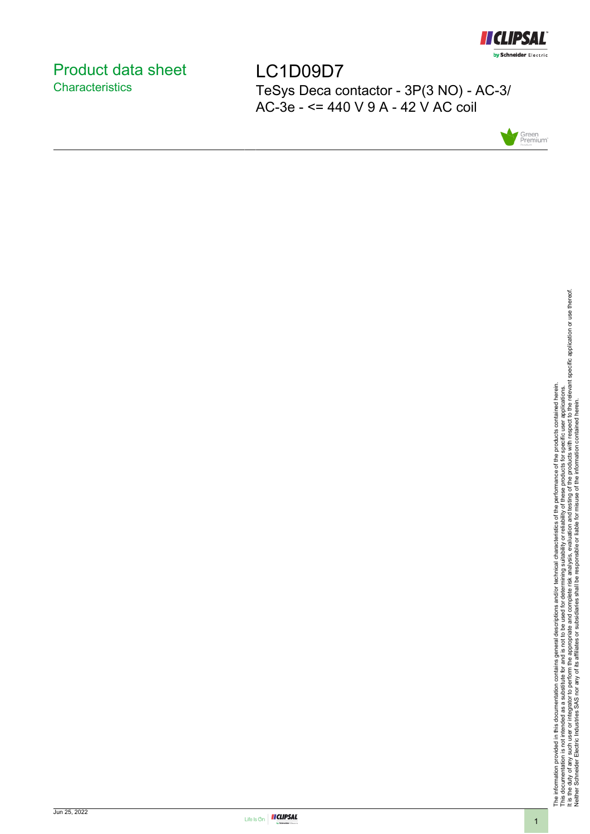

# <span id="page-0-0"></span>Product data sheet **Characteristics**

LC1D09D7 TeSys Deca contactor - 3P(3 NO) - AC-3/ AC-3e - <= 440 V 9 A - 42 V AC coil



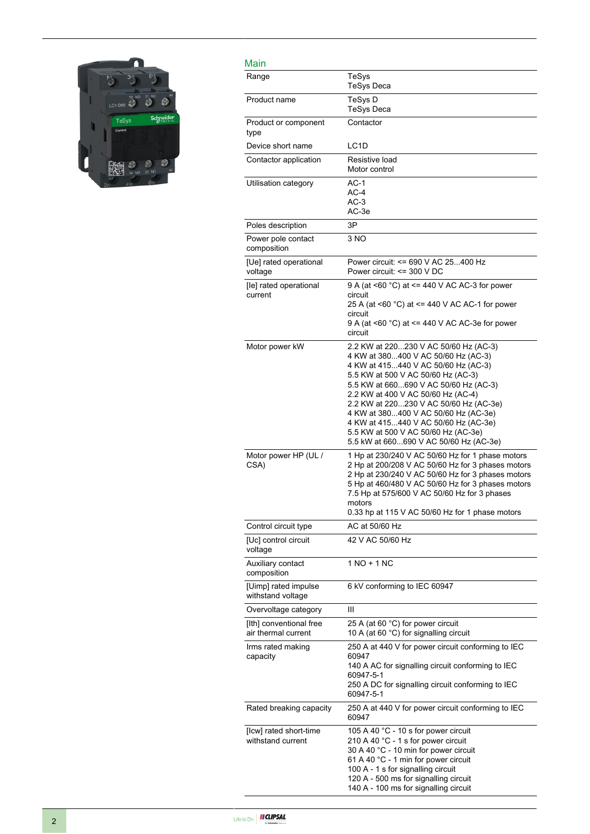

| Main                                           |                                                                                                                                                                                                                                                                                                                                                                                                                                                     |
|------------------------------------------------|-----------------------------------------------------------------------------------------------------------------------------------------------------------------------------------------------------------------------------------------------------------------------------------------------------------------------------------------------------------------------------------------------------------------------------------------------------|
| Range                                          | TeSys<br><b>TeSys Deca</b>                                                                                                                                                                                                                                                                                                                                                                                                                          |
| Product name                                   | TeSys D<br><b>TeSys Deca</b>                                                                                                                                                                                                                                                                                                                                                                                                                        |
| Product or component<br>type                   | Contactor                                                                                                                                                                                                                                                                                                                                                                                                                                           |
| Device short name                              | LC <sub>1</sub> D                                                                                                                                                                                                                                                                                                                                                                                                                                   |
| Contactor application                          | Resistive load<br>Motor control                                                                                                                                                                                                                                                                                                                                                                                                                     |
| Utilisation category                           | $AC-1$<br>$AC-4$<br>$AC-3$<br>AC-3e                                                                                                                                                                                                                                                                                                                                                                                                                 |
| Poles description                              | 3P                                                                                                                                                                                                                                                                                                                                                                                                                                                  |
| Power pole contact<br>composition              | 3 NO                                                                                                                                                                                                                                                                                                                                                                                                                                                |
| [Ue] rated operational<br>voltage              | Power circuit: <= 690 V AC 25400 Hz<br>Power circuit: <= 300 V DC                                                                                                                                                                                                                                                                                                                                                                                   |
| [le] rated operational<br>current              | 9 A (at <60 °C) at <= 440 V AC AC-3 for power<br>circuit<br>25 A (at <60 °C) at <= 440 V AC AC-1 for power<br>circuit<br>9 A (at <60 $^{\circ}$ C) at <= 440 V AC AC-3e for power<br>circuit                                                                                                                                                                                                                                                        |
| Motor power kW                                 | 2.2 KW at 220230 V AC 50/60 Hz (AC-3)<br>4 KW at 380400 V AC 50/60 Hz (AC-3)<br>4 KW at 415440 V AC 50/60 Hz (AC-3)<br>5.5 KW at 500 V AC 50/60 Hz (AC-3)<br>5.5 KW at 660690 V AC 50/60 Hz (AC-3)<br>2.2 KW at 400 V AC 50/60 Hz (AC-4)<br>2.2 KW at 220230 V AC 50/60 Hz (AC-3e)<br>4 KW at 380400 V AC 50/60 Hz (AC-3e)<br>4 KW at 415440 V AC 50/60 Hz (AC-3e)<br>5.5 KW at 500 V AC 50/60 Hz (AC-3e)<br>5.5 kW at 660690 V AC 50/60 Hz (AC-3e) |
| Motor power HP (UL /<br>CSA)                   | 1 Hp at 230/240 V AC 50/60 Hz for 1 phase motors<br>2 Hp at 200/208 V AC 50/60 Hz for 3 phases motors<br>2 Hp at 230/240 V AC 50/60 Hz for 3 phases motors<br>5 Hp at 460/480 V AC 50/60 Hz for 3 phases motors<br>7.5 Hp at 575/600 V AC 50/60 Hz for 3 phases<br>motors<br>0.33 hp at 115 V AC 50/60 Hz for 1 phase motors                                                                                                                        |
| Control circuit type                           | AC at 50/60 Hz                                                                                                                                                                                                                                                                                                                                                                                                                                      |
| [Uc] control circuit<br>voltage                | 42 V AC 50/60 Hz                                                                                                                                                                                                                                                                                                                                                                                                                                    |
| Auxiliary contact<br>composition               | 1 NO + 1 NC                                                                                                                                                                                                                                                                                                                                                                                                                                         |
| [Uimp] rated impulse<br>withstand voltage      | 6 kV conforming to IEC 60947                                                                                                                                                                                                                                                                                                                                                                                                                        |
| Overvoltage category                           | Ш                                                                                                                                                                                                                                                                                                                                                                                                                                                   |
| [Ith] conventional free<br>air thermal current | 25 A (at 60 °C) for power circuit<br>10 A (at 60 °C) for signalling circuit                                                                                                                                                                                                                                                                                                                                                                         |
| Irms rated making<br>capacity                  | 250 A at 440 V for power circuit conforming to IEC<br>60947<br>140 A AC for signalling circuit conforming to IEC<br>60947-5-1<br>250 A DC for signalling circuit conforming to IEC<br>60947-5-1                                                                                                                                                                                                                                                     |
| Rated breaking capacity                        | 250 A at 440 V for power circuit conforming to IEC<br>60947                                                                                                                                                                                                                                                                                                                                                                                         |
| [Icw] rated short-time<br>withstand current    | 105 A 40 °C - 10 s for power circuit<br>210 A 40 °C - 1 s for power circuit<br>30 A 40 °C - 10 min for power circuit<br>61 A 40 °C - 1 min for power circuit<br>100 A - 1 s for signalling circuit<br>120 A - 500 ms for signalling circuit<br>140 A - 100 ms for signalling circuit                                                                                                                                                                |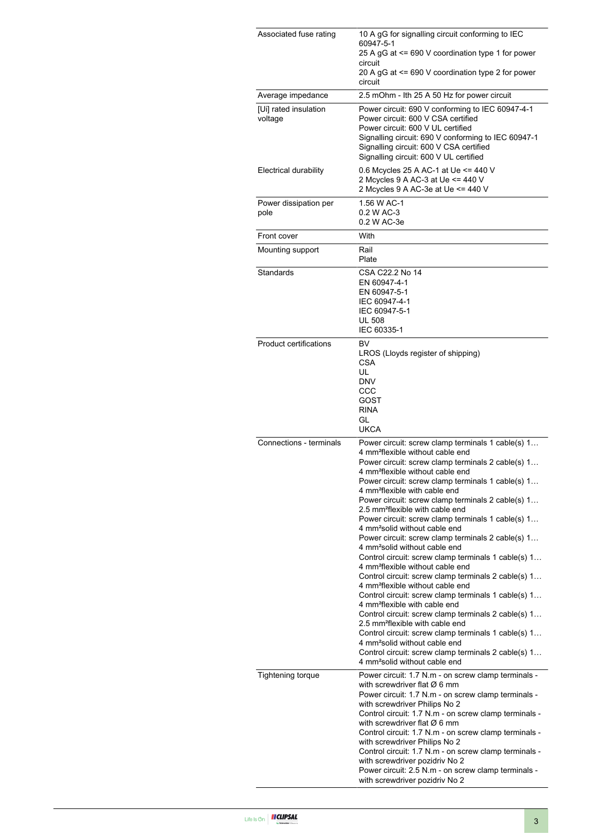| Associated fuse rating           | 10 A gG for signalling circuit conforming to IEC<br>60947-5-1<br>25 A gG at <= 690 V coordination type 1 for power<br>circuit<br>20 A gG at <= 690 V coordination type 2 for power<br>circuit                                                                                                                                                                                                                                                                                                                                                                                                                                                                                                                                                                                                                                                                                                                                                                                                                                                                                                                                                                                                                                                    |
|----------------------------------|--------------------------------------------------------------------------------------------------------------------------------------------------------------------------------------------------------------------------------------------------------------------------------------------------------------------------------------------------------------------------------------------------------------------------------------------------------------------------------------------------------------------------------------------------------------------------------------------------------------------------------------------------------------------------------------------------------------------------------------------------------------------------------------------------------------------------------------------------------------------------------------------------------------------------------------------------------------------------------------------------------------------------------------------------------------------------------------------------------------------------------------------------------------------------------------------------------------------------------------------------|
| Average impedance                | 2.5 mOhm - Ith 25 A 50 Hz for power circuit                                                                                                                                                                                                                                                                                                                                                                                                                                                                                                                                                                                                                                                                                                                                                                                                                                                                                                                                                                                                                                                                                                                                                                                                      |
| [Ui] rated insulation<br>voltage | Power circuit: 690 V conforming to IEC 60947-4-1<br>Power circuit: 600 V CSA certified<br>Power circuit: 600 V UL certified<br>Signalling circuit: 690 V conforming to IEC 60947-1<br>Signalling circuit: 600 V CSA certified<br>Signalling circuit: 600 V UL certified                                                                                                                                                                                                                                                                                                                                                                                                                                                                                                                                                                                                                                                                                                                                                                                                                                                                                                                                                                          |
| Electrical durability            | 0.6 Mcycles 25 A AC-1 at Ue <= 440 V<br>2 Mcycles 9 A AC-3 at Ue <= 440 V<br>2 Mcycles 9 A AC-3e at Ue <= 440 V                                                                                                                                                                                                                                                                                                                                                                                                                                                                                                                                                                                                                                                                                                                                                                                                                                                                                                                                                                                                                                                                                                                                  |
| Power dissipation per<br>pole    | 1.56 W AC-1<br>0.2 W AC-3<br>0.2 W AC-3e                                                                                                                                                                                                                                                                                                                                                                                                                                                                                                                                                                                                                                                                                                                                                                                                                                                                                                                                                                                                                                                                                                                                                                                                         |
| Front cover                      | With                                                                                                                                                                                                                                                                                                                                                                                                                                                                                                                                                                                                                                                                                                                                                                                                                                                                                                                                                                                                                                                                                                                                                                                                                                             |
| Mounting support                 | Rail<br>Plate                                                                                                                                                                                                                                                                                                                                                                                                                                                                                                                                                                                                                                                                                                                                                                                                                                                                                                                                                                                                                                                                                                                                                                                                                                    |
| Standards                        | CSA C22.2 No 14<br>EN 60947-4-1<br>EN 60947-5-1<br>IEC 60947-4-1<br>IEC 60947-5-1<br><b>UL 508</b><br>IEC 60335-1                                                                                                                                                                                                                                                                                                                                                                                                                                                                                                                                                                                                                                                                                                                                                                                                                                                                                                                                                                                                                                                                                                                                |
| <b>Product certifications</b>    | BV<br>LROS (Lloyds register of shipping)<br><b>CSA</b><br>UL<br><b>DNV</b><br>CCC<br>GOST<br><b>RINA</b><br>GL<br><b>UKCA</b>                                                                                                                                                                                                                                                                                                                                                                                                                                                                                                                                                                                                                                                                                                                                                                                                                                                                                                                                                                                                                                                                                                                    |
| Connections - terminals          | Power circuit: screw clamp terminals 1 cable(s) 1<br>4 mm <sup>2</sup> flexible without cable end<br>Power circuit: screw clamp terminals 2 cable(s) 1<br>4 mm <sup>2</sup> flexible without cable end<br>Power circuit: screw clamp terminals 1 cable(s) 1<br>4 mm <sup>2</sup> flexible with cable end<br>Power circuit: screw clamp terminals 2 cable(s) 1<br>2.5 mm <sup>2</sup> flexible with cable end<br>Power circuit: screw clamp terminals 1 cable(s) 1<br>4 mm <sup>2</sup> solid without cable end<br>Power circuit: screw clamp terminals 2 cable(s) 1<br>4 mm <sup>2</sup> solid without cable end<br>Control circuit: screw clamp terminals 1 cable(s) 1<br>4 mm <sup>2</sup> flexible without cable end<br>Control circuit: screw clamp terminals 2 cable(s) 1<br>4 mm <sup>2</sup> flexible without cable end<br>Control circuit: screw clamp terminals 1 cable(s) 1<br>4 mm <sup>2</sup> flexible with cable end<br>Control circuit: screw clamp terminals 2 cable(s) 1<br>2.5 mm <sup>2</sup> flexible with cable end<br>Control circuit: screw clamp terminals 1 cable(s) 1<br>4 mm <sup>2</sup> solid without cable end<br>Control circuit: screw clamp terminals 2 cable(s) 1<br>4 mm <sup>2</sup> solid without cable end |
| <b>Tightening torque</b>         | Power circuit: 1.7 N.m - on screw clamp terminals -<br>with screwdriver flat $\varnothing$ 6 mm<br>Power circuit: 1.7 N.m - on screw clamp terminals -<br>with screwdriver Philips No 2<br>Control circuit: 1.7 N.m - on screw clamp terminals -<br>with screwdriver flat $\varnothing$ 6 mm<br>Control circuit: 1.7 N.m - on screw clamp terminals -<br>with screwdriver Philips No 2<br>Control circuit: 1.7 N.m - on screw clamp terminals -<br>with screwdriver pozidriv No 2<br>Power circuit: 2.5 N.m - on screw clamp terminals -<br>with screwdriver pozidriv No 2                                                                                                                                                                                                                                                                                                                                                                                                                                                                                                                                                                                                                                                                       |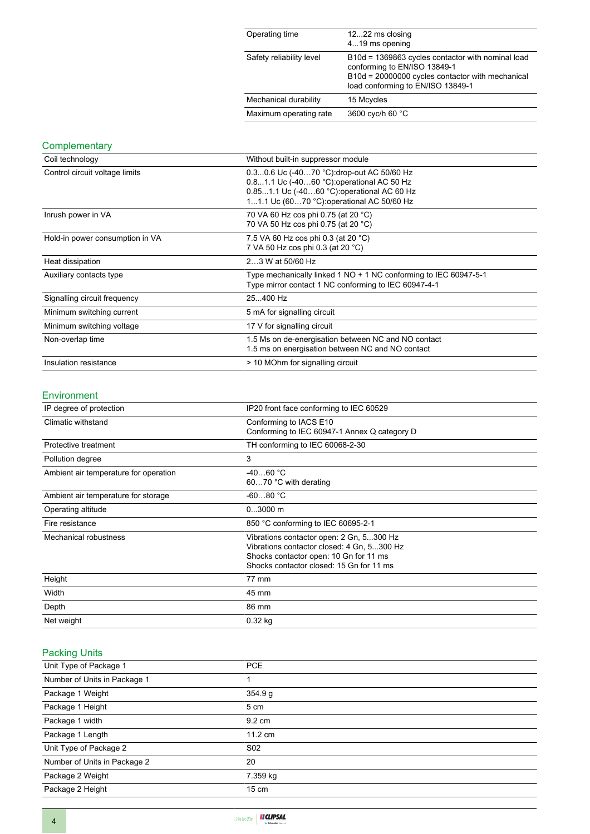| Operating time           | 1222 ms closing<br>419 ms opening                                                                                                                                          |
|--------------------------|----------------------------------------------------------------------------------------------------------------------------------------------------------------------------|
| Safety reliability level | B10d = 1369863 cycles contactor with nominal load<br>conforming to EN/ISO 13849-1<br>B10d = 20000000 cycles contactor with mechanical<br>load conforming to EN/ISO 13849-1 |
| Mechanical durability    | 15 Mcycles                                                                                                                                                                 |
| Maximum operating rate   | 3600 cyc/h 60 °C                                                                                                                                                           |

### **Complementary**

| Coil technology                 | Without built-in suppressor module                                                                                                                                                   |
|---------------------------------|--------------------------------------------------------------------------------------------------------------------------------------------------------------------------------------|
| Control circuit voltage limits  | 0.30.6 Uc (-4070 °C): drop-out AC 50/60 Hz<br>0.81.1 Uc (-4060 °C) operational AC 50 Hz<br>0.851.1 Uc (-4060 °C): operational AC 60 Hz<br>11.1 Uc (6070 °C): operational AC 50/60 Hz |
| Inrush power in VA              | 70 VA 60 Hz cos phi 0.75 (at 20 °C)<br>70 VA 50 Hz cos phi 0.75 (at 20 °C)                                                                                                           |
| Hold-in power consumption in VA | 7.5 VA 60 Hz cos phi 0.3 (at 20 °C)<br>7 VA 50 Hz cos phi 0.3 (at 20 °C)                                                                                                             |
| Heat dissipation                | 23 W at 50/60 Hz                                                                                                                                                                     |
| Auxiliary contacts type         | Type mechanically linked 1 NO + 1 NC conforming to IEC 60947-5-1<br>Type mirror contact 1 NC conforming to IEC 60947-4-1                                                             |
| Signalling circuit frequency    | 25400 Hz                                                                                                                                                                             |
| Minimum switching current       | 5 mA for signalling circuit                                                                                                                                                          |
| Minimum switching voltage       | 17 V for signalling circuit                                                                                                                                                          |
| Non-overlap time                | 1.5 Ms on de-energisation between NC and NO contact<br>1.5 ms on energisation between NC and NO contact                                                                              |
| Insulation resistance           | > 10 MOhm for signalling circuit                                                                                                                                                     |

#### Environment

| IP degree of protection               | IP20 front face conforming to IEC 60529                                                                                                                                      |
|---------------------------------------|------------------------------------------------------------------------------------------------------------------------------------------------------------------------------|
| Climatic withstand                    | Conforming to IACS E10<br>Conforming to IEC 60947-1 Annex Q category D                                                                                                       |
| Protective treatment                  | TH conforming to IEC 60068-2-30                                                                                                                                              |
| Pollution degree                      | 3                                                                                                                                                                            |
| Ambient air temperature for operation | $-4060 °C$<br>6070 °C with derating                                                                                                                                          |
| Ambient air temperature for storage   | $-6080 °C$                                                                                                                                                                   |
| Operating altitude                    | $03000$ m                                                                                                                                                                    |
| Fire resistance                       | 850 °C conforming to IEC 60695-2-1                                                                                                                                           |
| Mechanical robustness                 | Vibrations contactor open: 2 Gn, 5300 Hz<br>Vibrations contactor closed: 4 Gn, 5300 Hz<br>Shocks contactor open: 10 Gn for 11 ms<br>Shocks contactor closed: 15 Gn for 11 ms |
| Height                                | 77 mm                                                                                                                                                                        |
| Width                                 | 45 mm                                                                                                                                                                        |
| Depth                                 | 86 mm                                                                                                                                                                        |
| Net weight                            | $0.32$ kg                                                                                                                                                                    |

## Packing Units

| Unit Type of Package 1       | <b>PCE</b>        |
|------------------------------|-------------------|
| Number of Units in Package 1 |                   |
| Package 1 Weight             | 354.9 g           |
| Package 1 Height             | 5 cm              |
| Package 1 width              | $9.2 \text{ cm}$  |
| Package 1 Length             | $11.2 \text{ cm}$ |
| Unit Type of Package 2       | S <sub>02</sub>   |
| Number of Units in Package 2 | 20                |
| Package 2 Weight             | 7.359 kg          |
| Package 2 Height             | $15 \text{ cm}$   |